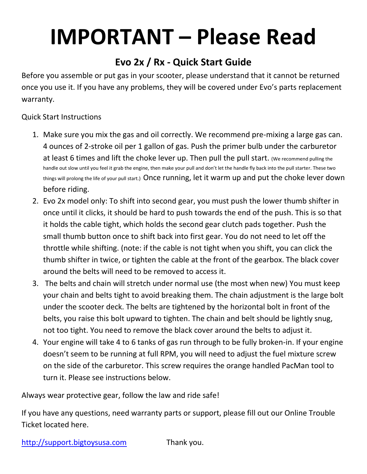## **IMPORTANT – Please Read**

## **Evo 2x / Rx - Quick Start Guide**

Before you assemble or put gas in your scooter, please understand that it cannot be returned once you use it. If you have any problems, they will be covered under Evo's parts replacement warranty.

## Quick Start Instructions

- 1. Make sure you mix the gas and oil correctly. We recommend pre-mixing a large gas can. 4 ounces of 2-stroke oil per 1 gallon of gas. Push the primer bulb under the carburetor at least 6 times and lift the choke lever up. Then pull the pull start. (We recommend pulling the handle out slow until you feel it grab the engine, then make your pull and don't let the handle fly back into the pull starter. These two things will prolong the life of your pull start.) Once running, let it warm up and put the choke lever down before riding.
- 2. Evo 2x model only: To shift into second gear, you must push the lower thumb shifter in once until it clicks, it should be hard to push towards the end of the push. This is so that it holds the cable tight, which holds the second gear clutch pads together. Push the small thumb button once to shift back into first gear. You do not need to let off the throttle while shifting. (note: if the cable is not tight when you shift, you can click the thumb shifter in twice, or tighten the cable at the front of the gearbox. The black cover around the belts will need to be removed to access it.
- 3. The belts and chain will stretch under normal use (the most when new) You must keep your chain and belts tight to avoid breaking them. The chain adjustment is the large bolt under the scooter deck. The belts are tightened by the horizontal bolt in front of the belts, you raise this bolt upward to tighten. The chain and belt should be lightly snug, not too tight. You need to remove the black cover around the belts to adjust it.
- 4. Your engine will take 4 to 6 tanks of gas run through to be fully broken-in. If your engine doesn't seem to be running at full RPM, you will need to adjust the fuel mixture screw on the side of the carburetor. This screw requires the orange handled PacMan tool to turn it. Please see instructions below.

Always wear protective gear, follow the law and ride safe!

If you have any questions, need warranty parts or support, please fill out our Online Trouble Ticket located here.